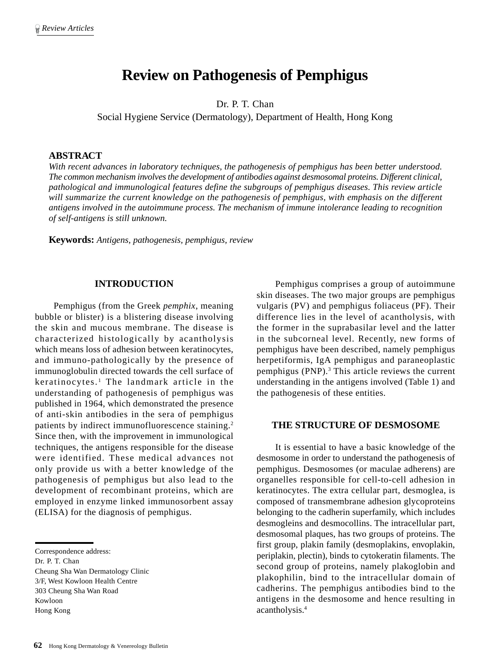# **Review on Pathogenesis of Pemphigus**

Dr. P. T. Chan

Social Hygiene Service (Dermatology), Department of Health, Hong Kong

### **ABSTRACT**

*With recent advances in laboratory techniques, the pathogenesis of pemphigus has been better understood. The common mechanism involves the development of antibodies against desmosomal proteins. Different clinical, pathological and immunological features define the subgroups of pemphigus diseases. This review article will summarize the current knowledge on the pathogenesis of pemphigus, with emphasis on the different antigens involved in the autoimmune process. The mechanism of immune intolerance leading to recognition of self-antigens is still unknown.*

**Keywords:** *Antigens, pathogenesis, pemphigus, review*

### **INTRODUCTION**

Pemphigus (from the Greek *pemphix*, meaning bubble or blister) is a blistering disease involving the skin and mucous membrane. The disease is characterized histologically by acantholysis which means loss of adhesion between keratinocytes, and immuno-pathologically by the presence of immunoglobulin directed towards the cell surface of keratinocytes.<sup>1</sup> The landmark article in the understanding of pathogenesis of pemphigus was published in 1964, which demonstrated the presence of anti-skin antibodies in the sera of pemphigus patients by indirect immunofluorescence staining.2 Since then, with the improvement in immunological techniques, the antigens responsible for the disease were identified. These medical advances not only provide us with a better knowledge of the pathogenesis of pemphigus but also lead to the development of recombinant proteins, which are employed in enzyme linked immunosorbent assay (ELISA) for the diagnosis of pemphigus.

Cheung Sha Wan Dermatology Clinic 3/F, West Kowloon Health Centre 303 Cheung Sha Wan Road Kowloon

Pemphigus comprises a group of autoimmune skin diseases. The two major groups are pemphigus vulgaris (PV) and pemphigus foliaceus (PF). Their difference lies in the level of acantholysis, with the former in the suprabasilar level and the latter in the subcorneal level. Recently, new forms of pemphigus have been described, namely pemphigus herpetiformis, IgA pemphigus and paraneoplastic pemphigus (PNP).<sup>3</sup> This article reviews the current understanding in the antigens involved (Table 1) and the pathogenesis of these entities.

#### **THE STRUCTURE OF DESMOSOME**

It is essential to have a basic knowledge of the desmosome in order to understand the pathogenesis of pemphigus. Desmosomes (or maculae adherens) are organelles responsible for cell-to-cell adhesion in keratinocytes. The extra cellular part, desmoglea, is composed of transmembrane adhesion glycoproteins belonging to the cadherin superfamily, which includes desmogleins and desmocollins. The intracellular part, desmosomal plaques, has two groups of proteins. The first group, plakin family (desmoplakins, envoplakin, periplakin, plectin), binds to cytokeratin filaments. The second group of proteins, namely plakoglobin and plakophilin, bind to the intracellular domain of cadherins. The pemphigus antibodies bind to the antigens in the desmosome and hence resulting in acantholysis.4

Correspondence address:

Dr. P. T. Chan

Hong Kong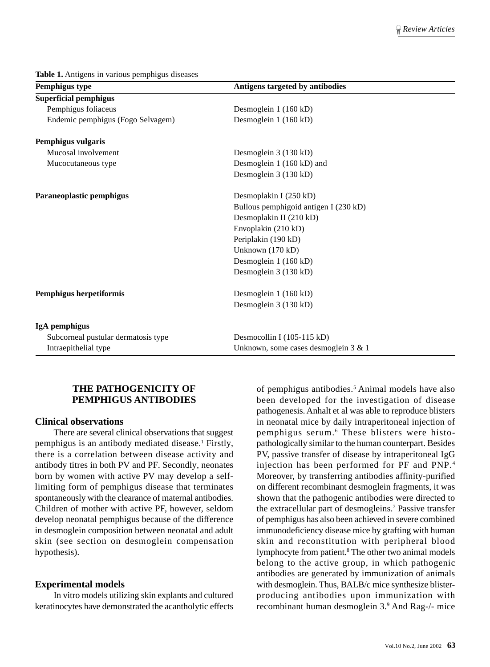**Table 1.** Antigens in various pemphigus diseases

| Pemphigus type                      | Antigens targeted by antibodies       |  |
|-------------------------------------|---------------------------------------|--|
| <b>Superficial pemphigus</b>        |                                       |  |
| Pemphigus foliaceus                 | Desmoglein 1 (160 kD)                 |  |
| Endemic pemphigus (Fogo Selvagem)   | Desmoglein 1 (160 kD)                 |  |
| Pemphigus vulgaris                  |                                       |  |
| Mucosal involvement                 | Desmoglein 3 (130 kD)                 |  |
| Mucocutaneous type                  | Desmoglein 1 (160 kD) and             |  |
|                                     | Desmoglein 3 (130 kD)                 |  |
| Paraneoplastic pemphigus            | Desmoplakin I (250 kD)                |  |
|                                     | Bullous pemphigoid antigen I (230 kD) |  |
|                                     | Desmoplakin II (210 kD)               |  |
|                                     | Envoplakin (210 kD)                   |  |
|                                     | Periplakin (190 kD)                   |  |
|                                     | Unknown (170 kD)                      |  |
|                                     | Desmoglein 1 (160 kD)                 |  |
|                                     | Desmoglein 3 (130 kD)                 |  |
| Pemphigus herpetiformis             | Desmoglein 1 (160 kD)                 |  |
|                                     | Desmoglein 3 (130 kD)                 |  |
| IgA pemphigus                       |                                       |  |
| Subcorneal pustular dermatosis type | Desmocollin I (105-115 kD)            |  |
| Intraepithelial type                | Unknown, some cases desmoglein 3 & 1  |  |

## **THE PATHOGENICITY OF PEMPHIGUS ANTIBODIES**

#### **Clinical observations**

There are several clinical observations that suggest pemphigus is an antibody mediated disease.<sup>1</sup> Firstly, there is a correlation between disease activity and antibody titres in both PV and PF. Secondly, neonates born by women with active PV may develop a selflimiting form of pemphigus disease that terminates spontaneously with the clearance of maternal antibodies. Children of mother with active PF, however, seldom develop neonatal pemphigus because of the difference in desmoglein composition between neonatal and adult skin (see section on desmoglein compensation hypothesis).

### **Experimental models**

In vitro models utilizing skin explants and cultured keratinocytes have demonstrated the acantholytic effects

of pemphigus antibodies.<sup>5</sup> Animal models have also been developed for the investigation of disease pathogenesis. Anhalt et al was able to reproduce blisters in neonatal mice by daily intraperitoneal injection of pemphigus serum.6 These blisters were histopathologically similar to the human counterpart. Besides PV, passive transfer of disease by intraperitoneal IgG injection has been performed for PF and PNP.4 Moreover, by transferring antibodies affinity-purified on different recombinant desmoglein fragments, it was shown that the pathogenic antibodies were directed to the extracellular part of desmogleins.<sup>7</sup> Passive transfer of pemphigus has also been achieved in severe combined immunodeficiency disease mice by grafting with human skin and reconstitution with peripheral blood lymphocyte from patient.<sup>8</sup> The other two animal models belong to the active group, in which pathogenic antibodies are generated by immunization of animals with desmoglein. Thus, BALB/c mice synthesize blisterproducing antibodies upon immunization with recombinant human desmoglein 3.9 And Rag-/- mice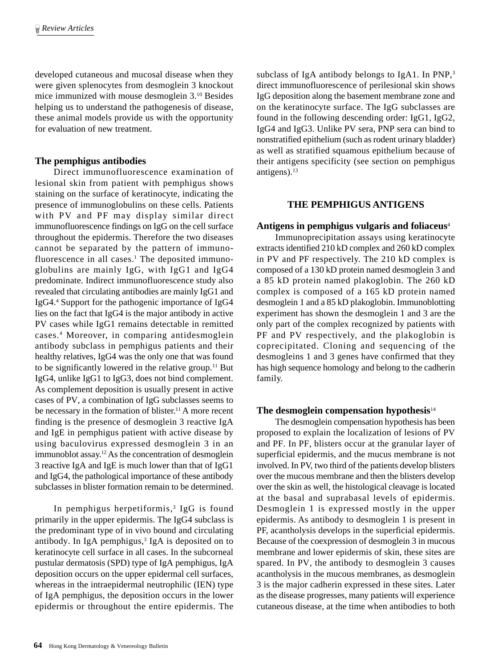developed cutaneous and mucosal disease when they were given splenocytes from desmoglein 3 knockout mice immunized with mouse desmoglein 3.10 Besides helping us to understand the pathogenesis of disease, these animal models provide us with the opportunity for evaluation of new treatment.

## **The pemphigus antibodies**

Direct immunofluorescence examination of lesional skin from patient with pemphigus shows staining on the surface of keratinocyte, indicating the presence of immunoglobulins on these cells. Patients with PV and PF may display similar direct immunofluorescence findings on IgG on the cell surface throughout the epidermis. Therefore the two diseases cannot be separated by the pattern of immunofluorescence in all cases.<sup>1</sup> The deposited immunoglobulins are mainly IgG, with IgG1 and IgG4 predominate. Indirect immunofluorescence study also revealed that circulating antibodies are mainly IgG1 and IgG4.4 Support for the pathogenic importance of IgG4 lies on the fact that IgG4 is the major antibody in active PV cases while IgG1 remains detectable in remitted cases.4 Moreover, in comparing antidesmoglein antibody subclass in pemphigus patients and their healthy relatives, IgG4 was the only one that was found to be significantly lowered in the relative group.<sup>11</sup> But IgG4, unlike IgG1 to IgG3, does not bind complement. As complement deposition is usually present in active cases of PV, a combination of IgG subclasses seems to be necessary in the formation of blister.<sup>11</sup> A more recent finding is the presence of desmoglein 3 reactive IgA and IgE in pemphigus patient with active disease by using baculovirus expressed desmoglein 3 in an immunoblot assay.12 As the concentration of desmoglein 3 reactive IgA and IgE is much lower than that of IgG1 and IgG4, the pathological importance of these antibody subclasses in blister formation remain to be determined.

In pemphigus herpetiformis,<sup>3</sup> IgG is found primarily in the upper epidermis. The IgG4 subclass is the predominant type of in vivo bound and circulating antibody. In IgA pemphigus,<sup>3</sup> IgA is deposited on to keratinocyte cell surface in all cases. In the subcorneal pustular dermatosis (SPD) type of IgA pemphigus, IgA deposition occurs on the upper epidermal cell surfaces, whereas in the intraepidermal neutrophilic (IEN) type of IgA pemphigus, the deposition occurs in the lower epidermis or throughout the entire epidermis. The

subclass of IgA antibody belongs to IgA1. In PNP,<sup>3</sup> direct immunofluorescence of perilesional skin shows IgG deposition along the basement membrane zone and on the keratinocyte surface. The IgG subclasses are found in the following descending order: IgG1, IgG2, IgG4 and IgG3. Unlike PV sera, PNP sera can bind to nonstratified epithelium (such as rodent urinary bladder) as well as stratified squamous epithelium because of their antigens specificity (see section on pemphigus antigens). $13$ 

## **THE PEMPHIGUS ANTIGENS**

### **Antigens in pemphigus vulgaris and foliaceus**<sup>4</sup>

Immunoprecipitation assays using keratinocyte extracts identified 210 kD complex and 260 kD complex in PV and PF respectively. The 210 kD complex is composed of a 130 kD protein named desmoglein 3 and a 85 kD protein named plakoglobin. The 260 kD complex is composed of a 165 kD protein named desmoglein 1 and a 85 kD plakoglobin. Immunoblotting experiment has shown the desmoglein 1 and 3 are the only part of the complex recognized by patients with PF and PV respectively, and the plakoglobin is coprecipitated. Cloning and sequencing of the desmogleins 1 and 3 genes have confirmed that they has high sequence homology and belong to the cadherin family.

### **The desmoglein compensation hypothesis**<sup>14</sup>

The desmoglein compensation hypothesis has been proposed to explain the localization of lesions of PV and PF. In PF, blisters occur at the granular layer of superficial epidermis, and the mucus membrane is not involved. In PV, two third of the patients develop blisters over the mucous membrane and then the blisters develop over the skin as well, the histological cleavage is located at the basal and suprabasal levels of epidermis. Desmoglein 1 is expressed mostly in the upper epidermis. As antibody to desmoglein 1 is present in PF, acantholysis develops in the superficial epidermis. Because of the coexpression of desmoglein 3 in mucous membrane and lower epidermis of skin, these sites are spared. In PV, the antibody to desmoglein 3 causes acantholysis in the mucous membranes, as desmoglein 3 is the major cadherin expressed in these sites. Later as the disease progresses, many patients will experience cutaneous disease, at the time when antibodies to both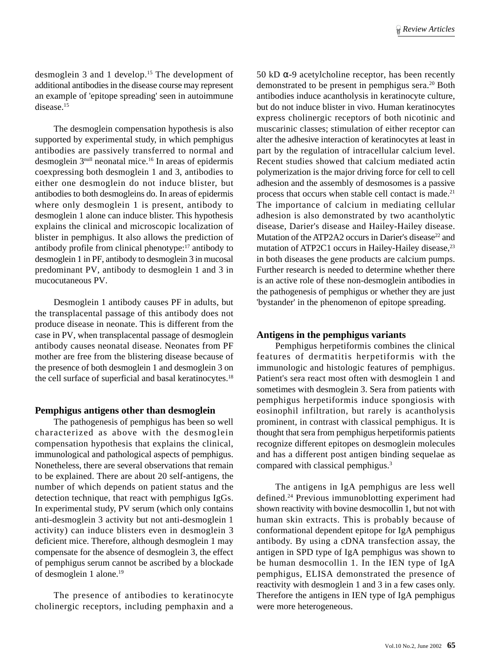desmoglein 3 and 1 develop.15 The development of additional antibodies in the disease course may represent an example of 'epitope spreading' seen in autoimmune disease.15

The desmoglein compensation hypothesis is also supported by experimental study, in which pemphigus antibodies are passively transferred to normal and desmoglein 3null neonatal mice.16 In areas of epidermis coexpressing both desmoglein 1 and 3, antibodies to either one desmoglein do not induce blister, but antibodies to both desmogleins do. In areas of epidermis where only desmoglein 1 is present, antibody to desmoglein 1 alone can induce blister. This hypothesis explains the clinical and microscopic localization of blister in pemphigus. It also allows the prediction of antibody profile from clinical phenotype:17 antibody to desmoglein 1 in PF, antibody to desmoglein 3 in mucosal predominant PV, antibody to desmoglein 1 and 3 in mucocutaneous PV.

Desmoglein 1 antibody causes PF in adults, but the transplacental passage of this antibody does not produce disease in neonate. This is different from the case in PV, when transplacental passage of desmoglein antibody causes neonatal disease. Neonates from PF mother are free from the blistering disease because of the presence of both desmoglein 1 and desmoglein 3 on the cell surface of superficial and basal keratinocytes.<sup>18</sup>

## **Pemphigus antigens other than desmoglein**

The pathogenesis of pemphigus has been so well characterized as above with the desmoglein compensation hypothesis that explains the clinical, immunological and pathological aspects of pemphigus. Nonetheless, there are several observations that remain to be explained. There are about 20 self-antigens, the number of which depends on patient status and the detection technique, that react with pemphigus IgGs. In experimental study, PV serum (which only contains anti-desmoglein 3 activity but not anti-desmoglein 1 activity) can induce blisters even in desmoglein 3 deficient mice. Therefore, although desmoglein 1 may compensate for the absence of desmoglein 3, the effect of pemphigus serum cannot be ascribed by a blockade of desmoglein 1 alone.19

The presence of antibodies to keratinocyte cholinergic receptors, including pemphaxin and a 50 kD  $\alpha$ -9 acetylcholine receptor, has been recently demonstrated to be present in pemphigus sera.20 Both antibodies induce acantholysis in keratinocyte culture, but do not induce blister in vivo. Human keratinocytes express cholinergic receptors of both nicotinic and muscarinic classes; stimulation of either receptor can alter the adhesive interaction of keratinocytes at least in part by the regulation of intracellular calcium level. Recent studies showed that calcium mediated actin polymerization is the major driving force for cell to cell adhesion and the assembly of desmosomes is a passive process that occurs when stable cell contact is made.21 The importance of calcium in mediating cellular adhesion is also demonstrated by two acantholytic disease, Darier's disease and Hailey-Hailey disease. Mutation of the ATP2A2 occurs in Darier's disease<sup>22</sup> and mutation of ATP2C1 occurs in Hailey-Hailey disease,<sup>23</sup> in both diseases the gene products are calcium pumps. Further research is needed to determine whether there is an active role of these non-desmoglein antibodies in the pathogenesis of pemphigus or whether they are just 'bystander' in the phenomenon of epitope spreading.

### **Antigens in the pemphigus variants**

Pemphigus herpetiformis combines the clinical features of dermatitis herpetiformis with the immunologic and histologic features of pemphigus. Patient's sera react most often with desmoglein 1 and sometimes with desmoglein 3. Sera from patients with pemphigus herpetiformis induce spongiosis with eosinophil infiltration, but rarely is acantholysis prominent, in contrast with classical pemphigus. It is thought that sera from pemphigus herpetiformis patients recognize different epitopes on desmoglein molecules and has a different post antigen binding sequelae as compared with classical pemphigus.3

The antigens in IgA pemphigus are less well defined.24 Previous immunoblotting experiment had shown reactivity with bovine desmocollin 1, but not with human skin extracts. This is probably because of conformational dependent epitope for IgA pemphigus antibody. By using a cDNA transfection assay, the antigen in SPD type of IgA pemphigus was shown to be human desmocollin 1. In the IEN type of IgA pemphigus, ELISA demonstrated the presence of reactivity with desmoglein 1 and 3 in a few cases only. Therefore the antigens in IEN type of IgA pemphigus were more heterogeneous.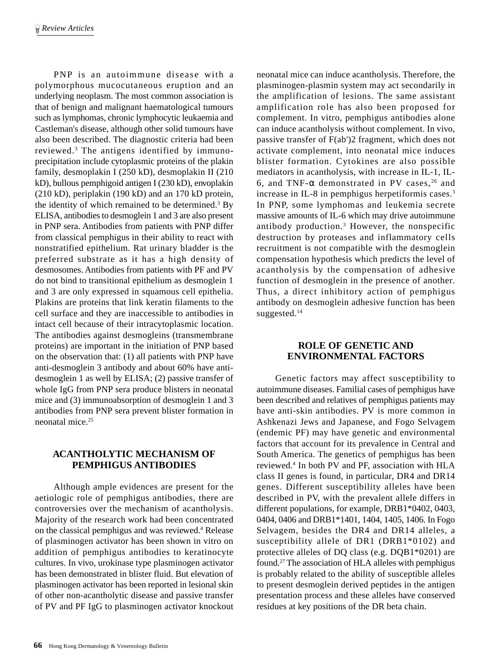PNP is an autoimmune disease with a polymorphous mucocutaneous eruption and an underlying neoplasm. The most common association is that of benign and malignant haematological tumours such as lymphomas, chronic lymphocytic leukaemia and Castleman's disease, although other solid tumours have also been described. The diagnostic criteria had been reviewed.3 The antigens identified by immunoprecipitation include cytoplasmic proteins of the plakin family, desmoplakin I (250 kD), desmoplakin II (210 kD), bullous pemphigoid antigen I (230 kD), envoplakin (210 kD), periplakin (190 kD) and an 170 kD protein, the identity of which remained to be determined.<sup>3</sup> By ELISA, antibodies to desmoglein 1 and 3 are also present in PNP sera. Antibodies from patients with PNP differ from classical pemphigus in their ability to react with nonstratified epithelium. Rat urinary bladder is the preferred substrate as it has a high density of desmosomes. Antibodies from patients with PF and PV do not bind to transitional epithelium as desmoglein 1 and 3 are only expressed in squamous cell epithelia. Plakins are proteins that link keratin filaments to the cell surface and they are inaccessible to antibodies in intact cell because of their intracytoplasmic location. The antibodies against desmogleins (transmembrane proteins) are important in the initiation of PNP based on the observation that: (1) all patients with PNP have anti-desmoglein 3 antibody and about 60% have antidesmoglein 1 as well by ELISA; (2) passive transfer of whole IgG from PNP sera produce blisters in neonatal mice and (3) immunoabsorption of desmoglein 1 and 3 antibodies from PNP sera prevent blister formation in neonatal mice.25

# **ACANTHOLYTIC MECHANISM OF PEMPHIGUS ANTIBODIES**

Although ample evidences are present for the aetiologic role of pemphigus antibodies, there are controversies over the mechanism of acantholysis. Majority of the research work had been concentrated on the classical pemphigus and was reviewed.4 Release of plasminogen activator has been shown in vitro on addition of pemphigus antibodies to keratinocyte cultures. In vivo, urokinase type plasminogen activator has been demonstrated in blister fluid. But elevation of plasminogen activator has been reported in lesional skin of other non-acantholytic disease and passive transfer of PV and PF IgG to plasminogen activator knockout neonatal mice can induce acantholysis. Therefore, the plasminogen-plasmin system may act secondarily in the amplification of lesions. The same assistant amplification role has also been proposed for complement. In vitro, pemphigus antibodies alone can induce acantholysis without complement. In vivo, passive transfer of F(ab')2 fragment, which does not activate complement, into neonatal mice induces blister formation. Cytokines are also possible mediators in acantholysis, with increase in IL-1, IL-6, and TNF- $\alpha$  demonstrated in PV cases,<sup>26</sup> and increase in IL-8 in pemphigus herpetiformis cases.3 In PNP, some lymphomas and leukemia secrete massive amounts of IL-6 which may drive autoimmune antibody production.3 However, the nonspecific destruction by proteases and inflammatory cells recruitment is not compatible with the desmoglein compensation hypothesis which predicts the level of acantholysis by the compensation of adhesive function of desmoglein in the presence of another. Thus, a direct inhibitory action of pemphigus antibody on desmoglein adhesive function has been suggested.<sup>14</sup>

# **ROLE OF GENETIC AND ENVIRONMENTAL FACTORS**

Genetic factors may affect susceptibility to autoimmune diseases. Familial cases of pemphigus have been described and relatives of pemphigus patients may have anti-skin antibodies. PV is more common in Ashkenazi Jews and Japanese, and Fogo Selvagem (endemic PF) may have genetic and environmental factors that account for its prevalence in Central and South America. The genetics of pemphigus has been reviewed.4 In both PV and PF, association with HLA class II genes is found, in particular, DR4 and DR14 genes. Different susceptibility alleles have been described in PV, with the prevalent allele differs in different populations, for example, DRB1\*0402, 0403, 0404, 0406 and DRB1\*1401, 1404, 1405, 1406. In Fogo Selvagem, besides the DR4 and DR14 alleles, a susceptibility allele of DR1 (DRB1\*0102) and protective alleles of DQ class (e.g. DQB1\*0201) are found.27 The association of HLA alleles with pemphigus is probably related to the ability of susceptible alleles to present desmoglein derived peptides in the antigen presentation process and these alleles have conserved residues at key positions of the DR beta chain.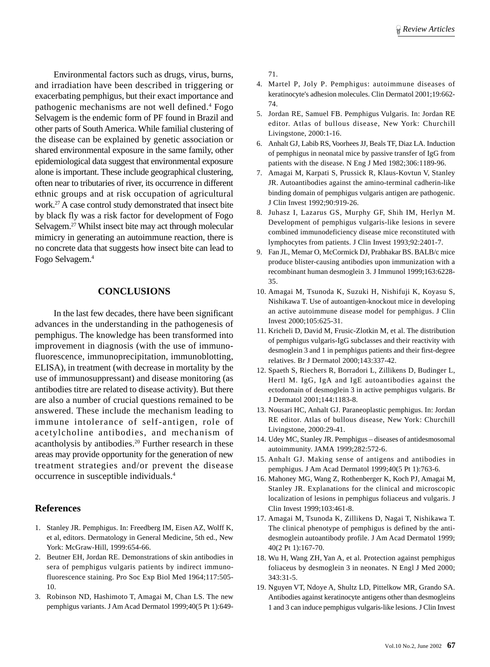Environmental factors such as drugs, virus, burns, and irradiation have been described in triggering or exacerbating pemphigus, but their exact importance and pathogenic mechanisms are not well defined.<sup>4</sup> Fogo Selvagem is the endemic form of PF found in Brazil and other parts of South America. While familial clustering of the disease can be explained by genetic association or shared environmental exposure in the same family, other epidemiological data suggest that environmental exposure alone is important. These include geographical clustering, often near to tributaries of river, its occurrence in different ethnic groups and at risk occupation of agricultural work.27 A case control study demonstrated that insect bite by black fly was a risk factor for development of Fogo Selvagem.<sup>27</sup> Whilst insect bite may act through molecular mimicry in generating an autoimmune reaction, there is no concrete data that suggests how insect bite can lead to Fogo Selvagem.4

#### **CONCLUSIONS**

In the last few decades, there have been significant advances in the understanding in the pathogenesis of pemphigus. The knowledge has been transformed into improvement in diagnosis (with the use of immunofluorescence, immunoprecipitation, immunoblotting, ELISA), in treatment (with decrease in mortality by the use of immunosuppressant) and disease monitoring (as antibodies titre are related to disease activity). But there are also a number of crucial questions remained to be answered. These include the mechanism leading to immune intolerance of self-antigen, role of acetylcholine antibodies, and mechanism of acantholysis by antibodies.<sup>20</sup> Further research in these areas may provide opportunity for the generation of new treatment strategies and/or prevent the disease occurrence in susceptible individuals.4

#### **References**

- 1. Stanley JR. Pemphigus. In: Freedberg IM, Eisen AZ, Wolff K, et al, editors. Dermatology in General Medicine, 5th ed., New York: McGraw-Hill, 1999:654-66.
- 2. Beutner EH, Jordan RE. Demonstrations of skin antibodies in sera of pemphigus vulgaris patients by indirect immunofluorescence staining. Pro Soc Exp Biol Med 1964;117:505- 10.
- 3. Robinson ND, Hashimoto T, Amagai M, Chan LS. The new pemphigus variants. J Am Acad Dermatol 1999;40(5 Pt 1):649-

71.

- 4. Martel P, Joly P. Pemphigus: autoimmune diseases of keratinocyte's adhesion molecules. Clin Dermatol 2001;19:662- 74.
- 5. Jordan RE, Samuel FB. Pemphigus Vulgaris. In: Jordan RE editor. Atlas of bullous disease, New York: Churchill Livingstone, 2000:1-16.
- 6. Anhalt GJ, Labib RS, Voorhees JJ, Beals TF, Diaz LA. Induction of pemphigus in neonatal mice by passive transfer of IgG from patients with the disease. N Eng J Med 1982;306:1189-96.
- 7. Amagai M, Karpati S, Prussick R, Klaus-Kovtun V, Stanley JR. Autoantibodies against the amino-terminal cadherin-like binding domain of pemphigus vulgaris antigen are pathogenic. J Clin Invest 1992;90:919-26.
- 8. Juhasz I, Lazarus GS, Murphy GF, Shih IM, Herlyn M. Development of pemphigus vulgaris-like lesions in severe combined immunodeficiency disease mice reconstituted with lymphocytes from patients. J Clin Invest 1993;92:2401-7.
- 9. Fan JL, Memar O, McCormick DJ, Prabhakar BS. BALB/c mice produce blister-causing antibodies upon immunization with a recombinant human desmoglein 3. J Immunol 1999;163:6228- 35.
- 10. Amagai M, Tsunoda K, Suzuki H, Nishifuji K, Koyasu S, Nishikawa T. Use of autoantigen-knockout mice in developing an active autoimmune disease model for pemphigus. J Clin Invest 2000;105:625-31.
- 11. Kricheli D, David M, Frusic-Zlotkin M, et al. The distribution of pemphigus vulgaris-IgG subclasses and their reactivity with desmoglein 3 and 1 in pemphigus patients and their first-degree relatives. Br J Dermatol 2000;143:337-42.
- 12. Spaeth S, Riechers R, Borradori L, Zillikens D, Budinger L, Hertl M. IgG, IgA and IgE autoantibodies against the ectodomain of desmoglein 3 in active pemphigus vulgaris. Br J Dermatol 2001;144:1183-8.
- 13. Nousari HC, Anhalt GJ. Paraneoplastic pemphigus. In: Jordan RE editor. Atlas of bullous disease, New York: Churchill Livingstone, 2000:29-41.
- 14. Udey MC, Stanley JR. Pemphigus diseases of antidesmosomal autoimmunity. JAMA 1999;282:572-6.
- 15. Anhalt GJ. Making sense of antigens and antibodies in pemphigus. J Am Acad Dermatol 1999;40(5 Pt 1):763-6.
- 16. Mahoney MG, Wang Z, Rothenberger K, Koch PJ, Amagai M, Stanley JR. Explanations for the clinical and microscopic localization of lesions in pemphigus foliaceus and vulgaris. J Clin Invest 1999;103:461-8.
- 17. Amagai M, Tsunoda K, Zillikens D, Nagai T, Nishikawa T. The clinical phenotype of pemphigus is defined by the antidesmoglein autoantibody profile. J Am Acad Dermatol 1999; 40(2 Pt 1):167-70.
- 18. Wu H, Wang ZH, Yan A, et al. Protection against pemphigus foliaceus by desmoglein 3 in neonates. N Engl J Med 2000; 343:31-5.
- 19. Nguyen VT, Ndoye A, Shultz LD, Pittelkow MR, Grando SA. Antibodies against keratinocyte antigens other than desmogleins 1 and 3 can induce pemphigus vulgaris-like lesions. J Clin Invest